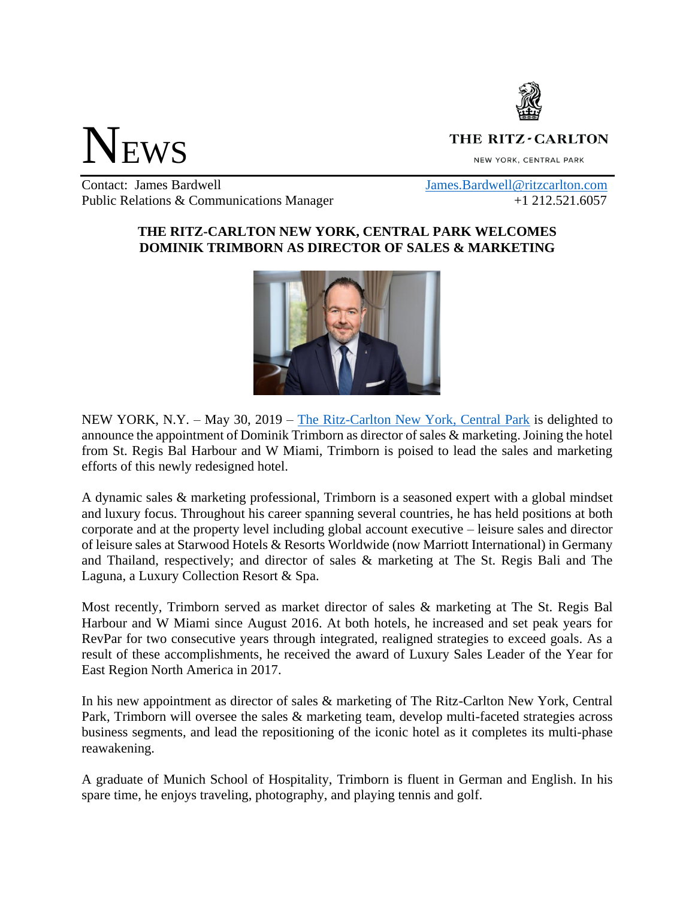

## **NEWS**

## THE RITZ-CARLTON

NEW YORK, CENTRAL PARK

Contact: James Bardwell [James.Bardwell@ritzcarlton.com](mailto:James.Bardwell@ritzcarlton.com) Public Relations & Communications Manager  $+1, 212.521.6057$ 

## **THE RITZ-CARLTON NEW YORK, CENTRAL PARK WELCOMES DOMINIK TRIMBORN AS DIRECTOR OF SALES & MARKETING**



NEW YORK, N.Y. – May 30, 2019 – [The Ritz-Carlton New York, Central Park](http://www.ritzcarlton.com/centralpark) is delighted to announce the appointment of Dominik Trimborn as director of sales & marketing. Joining the hotel from St. Regis Bal Harbour and W Miami, Trimborn is poised to lead the sales and marketing efforts of this newly redesigned hotel.

A dynamic sales & marketing professional, Trimborn is a seasoned expert with a global mindset and luxury focus. Throughout his career spanning several countries, he has held positions at both corporate and at the property level including global account executive – leisure sales and director of leisure sales at Starwood Hotels & Resorts Worldwide (now Marriott International) in Germany and Thailand, respectively; and director of sales & marketing at The St. Regis Bali and The Laguna, a Luxury Collection Resort & Spa.

Most recently, Trimborn served as market director of sales & marketing at The St. Regis Bal Harbour and W Miami since August 2016. At both hotels, he increased and set peak years for RevPar for two consecutive years through integrated, realigned strategies to exceed goals. As a result of these accomplishments, he received the award of Luxury Sales Leader of the Year for East Region North America in 2017.

In his new appointment as director of sales & marketing of The Ritz-Carlton New York, Central Park, Trimborn will oversee the sales & marketing team, develop multi-faceted strategies across business segments, and lead the repositioning of the iconic hotel as it completes its multi-phase reawakening.

A graduate of Munich School of Hospitality, Trimborn is fluent in German and English. In his spare time, he enjoys traveling, photography, and playing tennis and golf.